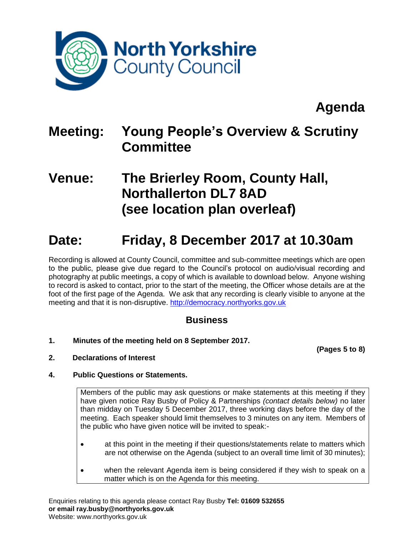

# **Agenda**

## **Meeting: Young People's Overview & Scrutiny Committee**

### **Venue: The Brierley Room, County Hall, Northallerton DL7 8AD (see location plan overleaf)**

### **Date: Friday, 8 December 2017 at 10.30am**

Recording is allowed at County Council, committee and sub-committee meetings which are open to the public, please give due regard to the Council's protocol on audio/visual recording and photography at public meetings, a copy of which is available to download below. Anyone wishing to record is asked to contact, prior to the start of the meeting, the Officer whose details are at the foot of the first page of the Agenda. We ask that any recording is clearly visible to anyone at the meeting and that it is non-disruptive. [http://democracy.northyorks.gov.uk](http://democracy.northyorks.gov.uk/)

### **Business**

**1. Minutes of the meeting held on 8 September 2017.**

**(Pages 5 to 8)**

**2. Declarations of Interest**

### **4. Public Questions or Statements.**

Members of the public may ask questions or make statements at this meeting if they have given notice Ray Busby of Policy & Partnerships *(contact details below)* no later than midday on Tuesday 5 December 2017, three working days before the day of the meeting. Each speaker should limit themselves to 3 minutes on any item. Members of the public who have given notice will be invited to speak:-

- at this point in the meeting if their questions/statements relate to matters which are not otherwise on the Agenda (subject to an overall time limit of 30 minutes);
- when the relevant Agenda item is being considered if they wish to speak on a matter which is on the Agenda for this meeting.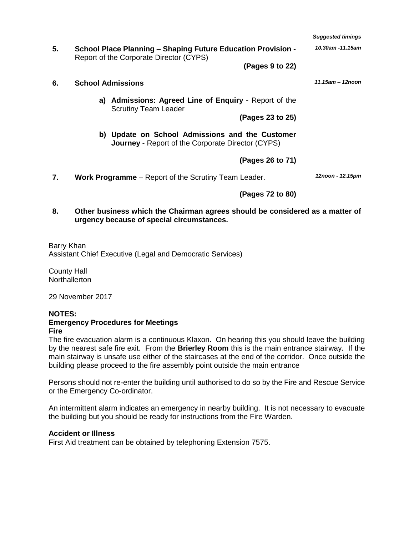|    |                                                                                                                | <b>Suggested timings</b> |  |  |  |  |  |  |
|----|----------------------------------------------------------------------------------------------------------------|--------------------------|--|--|--|--|--|--|
| 5. | <b>School Place Planning - Shaping Future Education Provision -</b><br>Report of the Corporate Director (CYPS) | 10.30am -11.15am         |  |  |  |  |  |  |
|    | (Pages 9 to 22)                                                                                                |                          |  |  |  |  |  |  |
| 6. | <b>School Admissions</b>                                                                                       | 11.15am - 12noon         |  |  |  |  |  |  |
|    | <b>Admissions: Agreed Line of Enguiry - Report of the</b><br>a)<br><b>Scrutiny Team Leader</b>                 |                          |  |  |  |  |  |  |
|    | (Pages 23 to 25)                                                                                               |                          |  |  |  |  |  |  |
|    | b) Update on School Admissions and the Customer<br><b>Journey</b> - Report of the Corporate Director (CYPS)    |                          |  |  |  |  |  |  |
|    | (Pages 26 to 71)                                                                                               |                          |  |  |  |  |  |  |
| 7. | <b>Work Programme</b> – Report of the Scrutiny Team Leader.                                                    | 12noon - 12.15pm         |  |  |  |  |  |  |
|    | (Pages 72 to 80)                                                                                               |                          |  |  |  |  |  |  |
| 8. | Other business which the Chairman agrees should be considered as a matter of                                   |                          |  |  |  |  |  |  |

Barry Khan Assistant Chief Executive (Legal and Democratic Services)

**urgency because of special circumstances.**

County Hall **Northallerton** 

29 November 2017

#### **NOTES:**

#### **Emergency Procedures for Meetings Fire**

The fire evacuation alarm is a continuous Klaxon. On hearing this you should leave the building by the nearest safe fire exit. From the **Brierley Room** this is the main entrance stairway. If the main stairway is unsafe use either of the staircases at the end of the corridor. Once outside the building please proceed to the fire assembly point outside the main entrance

Persons should not re-enter the building until authorised to do so by the Fire and Rescue Service or the Emergency Co-ordinator.

An intermittent alarm indicates an emergency in nearby building. It is not necessary to evacuate the building but you should be ready for instructions from the Fire Warden.

#### **Accident or Illness**

First Aid treatment can be obtained by telephoning Extension 7575.